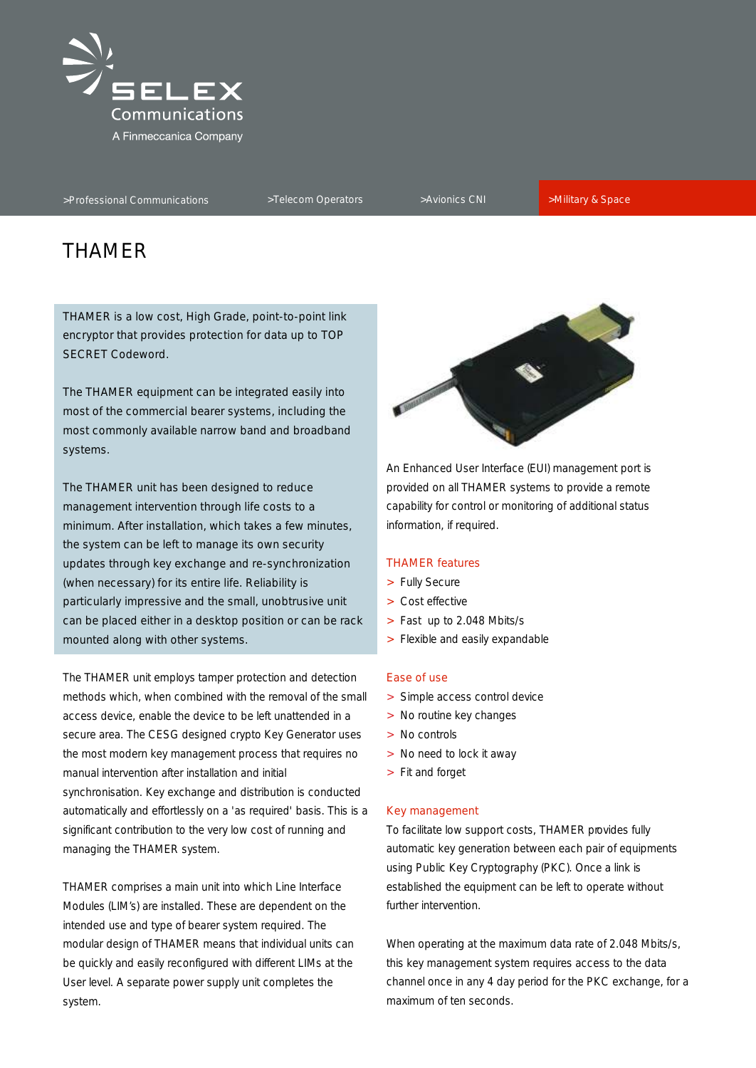

# THAMER

THAMER is a low cost, High Grade, point-to-point link encryptor that provides protection for data up to TOP SECRET Codeword.

The THAMER equipment can be integrated easily into most of the commercial bearer systems, including the most commonly available narrow band and broadband systems.

The THAMER unit has been designed to reduce provided on all THAMER systems to provide a remote management intervention through life costs to a capability for control or monitoring of additional status minimum. After installation, which takes a few minutes, information, if required. the system can be left to manage its own security updates through key exchange and re-synchronization (when necessary) for its entire life. Reliability is particularly impressive and the small, unobtrusive unit can be placed either in a desktop position or can be rack mounted along with other systems.

The THAMER unit employs tamper protection and detection methods which, when combined with the removal of the small access device, enable the device to be left unattended in a secure area. The CESG designed crypto Key Generator uses the most modern key management process that requires no manual intervention after installation and initial synchronisation. Key exchange and distribution is conducted automatically and effortlessly on a 'as required' basis. This is a significant contribution to the very low cost of running and To facilitate low support costs, THAMER provides fully managing the THAMER system. The system and the system of equipments automatic key generation between each pair of equipments

Modules (LIM's) are installed. These are dependent on the further intervention. intended use and type of bearer system required. The modular design of THAMER means that individual units can When operating at the maximum data rate of 2.048 Mbits/s, be quickly and easily reconfigured with different LIMs at the this key management system requires access to the data system. The system of ten seconds. The system of ten seconds.



An Enhanced User Interface (EUI) management port is

# THAMER features

- > Fully Secure
- > Cost effective
- > Fast up to 2.048 Mbits/s
- > Flexible and easily expandable

# Ease of use

- > Simple access control device
- > No routine key changes
- > No controls
- > No need to lock it away
- > Fit and forget

#### Key management

using Public Key Cryptography (PKC). Once a link is THAMER comprises a main unit into which Line Interface established the equipment can be left to operate without

User level. A separate power supply unit completes the channel once in any 4 day period for the PKC exchange, for a